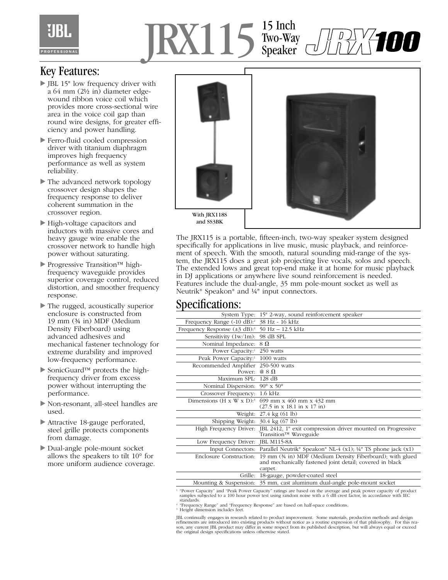## IRX115<sup>15</sup> Inch Two-Way Speaker

## Key Features:

- JBL 15" low frequency driver with a 64 mm (2½ in) diameter edgewound ribbon voice coil which provides more cross-sectional wire area in the voice coil gap than round wire designs, for greater efficiency and power handling.
- Ferro-fluid cooled compression driver with titanium diaphragm improves high frequency performance as well as system reliability.
- The advanced network topology crossover design shapes the frequency response to deliver coherent summation in the crossover region.
- High-voltage capacitors and inductors with massive cores and heavy gauge wire enable the crossover network to handle high power without saturating.
- Progressive Transition™ highfrequency waveguide provides superior coverage control, reduced distortion, and smoother frequency response.
- The rugged, acoustically superior enclosure is constructed from 19 mm (¾ in) MDF (Medium Density Fiberboard) using advanced adhesives and mechanical fastener technology for extreme durability and improved low-frequency performance.
- SonicGuard™ protects the highfrequency driver from excess power without interrupting the performance.
- Non-resonant, all-steel handles are used.
- Attractive 18-gauge perforated, steel grille protects components from damage.
- Dual-angle pole-mount socket allows the speakers to tilt 10° for more uniform audience coverage.



The JRX115 is a portable, fifteen-inch, two-way speaker system designed specifically for applications in live music, music playback, and reinforcement of speech. With the smooth, natural sounding mid-range of the system, the JRX115 does a great job projecting live vocals, solos and speech. The extended lows and great top-end make it at home for music playback in DJ applications or anywhere live sound reinforcement is needed. Features include the dual-angle, 35 mm pole-mount socket as well as Neutrik® Speakon® and ¼" input connectors.

## Specifications:

| System Type:                                                                                                   | 15" 2-way, sound reinforcement speaker                                                                                           |
|----------------------------------------------------------------------------------------------------------------|----------------------------------------------------------------------------------------------------------------------------------|
| Frequency Range $(-10 \text{ dB})$ :                                                                           | 38 Hz - 16 kHz                                                                                                                   |
| Frequency Response $(\pm 3 \text{ dB})$ : 50 Hz – 12.5 kHz                                                     |                                                                                                                                  |
| Sensitivity $(1w/1m)$ :                                                                                        | 98 dB SPL                                                                                                                        |
| Nominal Impedance:                                                                                             | $8\Omega$                                                                                                                        |
| Power Capacity: <sup>1</sup>                                                                                   | 250 watts                                                                                                                        |
| Peak Power Capacity: <sup>1</sup>                                                                              | 1000 watts                                                                                                                       |
| Recommended Amplifier<br>Power:                                                                                | 250-500 watts<br>$@ 8 \Omega$                                                                                                    |
| Maximum SPL: 128 dB                                                                                            |                                                                                                                                  |
| Nominal Dispersion:                                                                                            | 90 $\rm{^\circ}$ x 50 $\rm{^\circ}$                                                                                              |
| Crossover Frequency: 1.6 kHz                                                                                   |                                                                                                                                  |
|                                                                                                                | Dimensions (H x W x D): <sup>3</sup> 699 mm x 460 mm x 432 mm<br>$(27.5 \text{ in } x 18.1 \text{ in } x 17 \text{ in})$         |
|                                                                                                                | Weight: 27.4 kg (61 lb)                                                                                                          |
| Shipping Weight: $30.4 \text{ kg} (67 \text{ lb})$                                                             |                                                                                                                                  |
| High Frequency Driver:                                                                                         | JBL 2412, 1" exit compression driver mounted on Progressive<br>Transition™ Waveguide                                             |
| Low Frequency Driver: JBL M115-8A                                                                              |                                                                                                                                  |
|                                                                                                                | Input Connectors: Parallel Neutrik® Speakon® NL-4 (x1); $\frac{1}{4}$ TS phone jack (x1)                                         |
| Enclosure Construction:                                                                                        | 19 mm (34 in) MDF (Medium Density Fiberboard); with glued<br>and mechanically fastened joint detail; covered in black<br>carpet. |
| Grille:                                                                                                        | 18-gauge, powder-coated steel                                                                                                    |
|                                                                                                                | Mounting & Suspension: 35 mm, cast aluminum dual-angle pole-mount socket                                                         |
| "Power Capacity" and "Peak Power Capacity" ratings are based on the average and peak power capacity of product |                                                                                                                                  |

1. "Power Capacity" and "Peak Power Capacity" ratings are based on the average and peak power capacity of product samples subjected to a 100 hour power test using random noise with a 6 dB crest factor, in accordance with IEC

standards.<br><sup>2</sup> "Frequency Range" and "Frequency Response" are based on half-space conditions.

3. Height dimension includes feet.

JBL continually engages in research related to product improvement. Some materials, production methods and design<br>refinements are introduced into existing products without notice as a routine expression of that philosophy. the original design specifications unless otherwise stated.